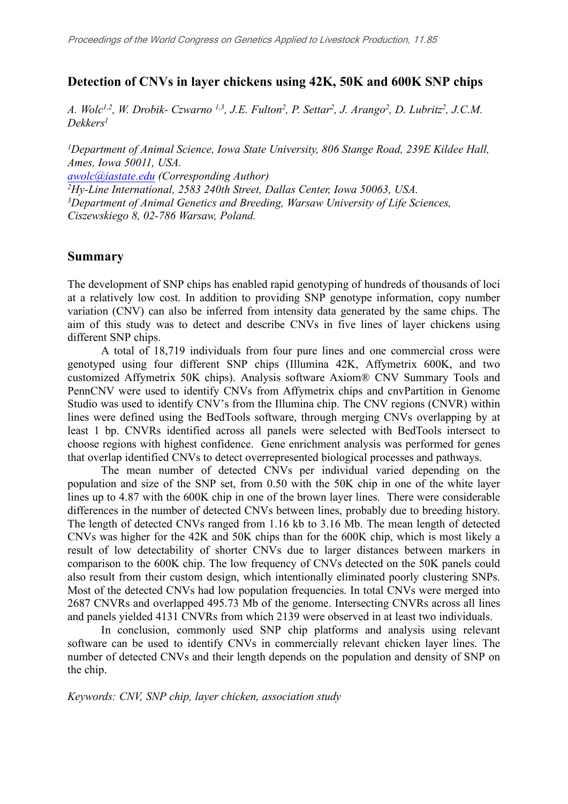#### **Detection of CNVs in layer chickens using 42K, 50K and 600K SNP chips**

A. Wolc<sup>1,2</sup>, W. Drobik- Czwarno <sup>1,3</sup>, J.E. Fulton<sup>2</sup>, P. Settar<sup>2</sup>, J. Arango<sup>2</sup>, D. Lubritz<sup>2</sup>, J.C.M. *Dekkers<sup>1</sup>*

*<sup>1</sup>Department of Animal Science, Iowa State University, 806 Stange Road, 239E Kildee Hall, Ames, Iowa 50011, USA. [awolc@iastate.edu](mailto:awolc@iastate.edu) (Corresponding Author) <sup>2</sup>Hy-Line International, 2583 240th Street, Dallas Center, Iowa 50063, USA. <sup>3</sup>Department of Animal Genetics and Breeding, Warsaw University of Life Sciences, Ciszewskiego 8, 02-786 Warsaw, Poland.*

#### **Summary**

The development of SNP chips has enabled rapid genotyping of hundreds of thousands of loci at a relatively low cost. In addition to providing SNP genotype information, copy number variation (CNV) can also be inferred from intensity data generated by the same chips. The aim of this study was to detect and describe CNVs in five lines of layer chickens using different SNP chips.

A total of 18,719 individuals from four pure lines and one commercial cross were genotyped using four different SNP chips (Illumina 42K, Affymetrix 600K, and two customized Affymetrix 50K chips). Analysis software Axiom® CNV Summary Tools and PennCNV were used to identify CNVs from Affymetrix chips and cnvPartition in Genome Studio was used to identify CNV's from the Illumina chip. The CNV regions (CNVR) within lines were defined using the BedTools software, through merging CNVs overlapping by at least 1 bp. CNVRs identified across all panels were selected with BedTools intersect to choose regions with highest confidence. Gene enrichment analysis was performed for genes that overlap identified CNVs to detect overrepresented biological processes and pathways.

The mean number of detected CNVs per individual varied depending on the population and size of the SNP set, from 0.50 with the 50K chip in one of the white layer lines up to 4.87 with the 600K chip in one of the brown layer lines. There were considerable differences in the number of detected CNVs between lines, probably due to breeding history. The length of detected CNVs ranged from 1.16 kb to 3.16 Mb. The mean length of detected CNVs was higher for the 42K and 50K chips than for the 600K chip, which is most likely a result of low detectability of shorter CNVs due to larger distances between markers in comparison to the 600K chip. The low frequency of CNVs detected on the 50K panels could also result from their custom design, which intentionally eliminated poorly clustering SNPs. Most of the detected CNVs had low population frequencies. In total CNVs were merged into 2687 CNVRs and overlapped 495.73 Mb of the genome. Intersecting CNVRs across all lines and panels yielded 4131 CNVRs from which 2139 were observed in at least two individuals.

In conclusion, commonly used SNP chip platforms and analysis using relevant software can be used to identify CNVs in commercially relevant chicken layer lines. The number of detected CNVs and their length depends on the population and density of SNP on the chip.

*Keywords: CNV, SNP chip, layer chicken, association study*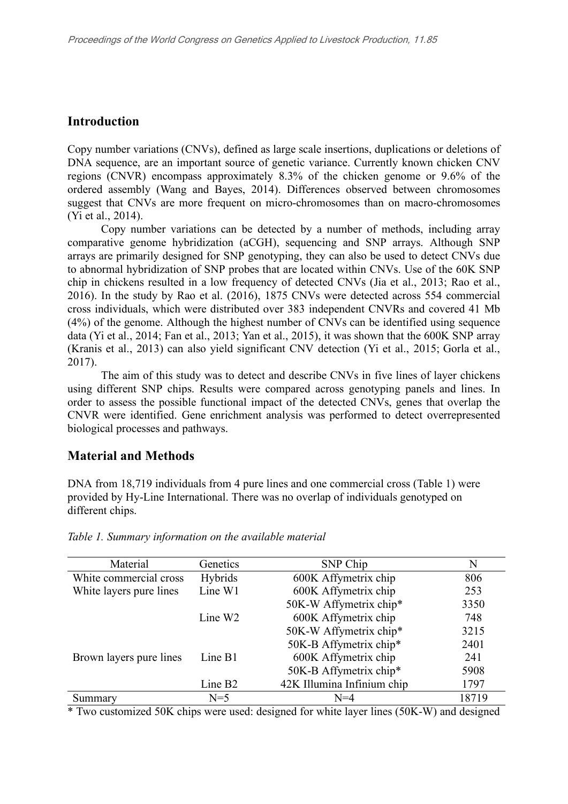### **Introduction**

Copy number variations (CNVs), defined as large scale insertions, duplications or deletions of DNA sequence, are an important source of genetic variance. Currently known chicken CNV regions (CNVR) encompass approximately 8.3% of the chicken genome or 9.6% of the ordered assembly (Wang and Bayes, 2014). Differences observed between chromosomes suggest that CNVs are more frequent on micro-chromosomes than on macro-chromosomes (Yi et al., 2014).

Copy number variations can be detected by a number of methods, including array comparative genome hybridization (aCGH), sequencing and SNP arrays. Although SNP arrays are primarily designed for SNP genotyping, they can also be used to detect CNVs due to abnormal hybridization of SNP probes that are located within CNVs. Use of the 60K SNP chip in chickens resulted in a low frequency of detected CNVs (Jia et al., 2013; Rao et al., 2016). In the study by Rao et al. (2016), 1875 CNVs were detected across 554 commercial cross individuals, which were distributed over 383 independent CNVRs and covered 41 Mb (4%) of the genome. Although the highest number of CNVs can be identified using sequence data (Yi et al., 2014; Fan et al., 2013; Yan et al., 2015), it was shown that the 600K SNP array (Kranis et al., 2013) can also yield significant CNV detection (Yi et al., 2015; Gorla et al., 2017).

The aim of this study was to detect and describe CNVs in five lines of layer chickens using different SNP chips. Results were compared across genotyping panels and lines. In order to assess the possible functional impact of the detected CNVs, genes that overlap the CNVR were identified. Gene enrichment analysis was performed to detect overrepresented biological processes and pathways.

# **Material and Methods**

DNA from 18,719 individuals from 4 pure lines and one commercial cross (Table 1) were provided by Hy-Line International. There was no overlap of individuals genotyped on different chips.

| Material                | Genetics            | SNP Chip                   | N     |
|-------------------------|---------------------|----------------------------|-------|
| White commercial cross  | Hybrids             | 600K Affymetrix chip       | 806   |
| White layers pure lines | Line W1             | 600K Affymetrix chip       | 253   |
|                         |                     | 50K-W Affymetrix chip*     | 3350  |
|                         | Line $W2$           | 600K Affymetrix chip       | 748   |
|                         |                     | 50K-W Affymetrix chip*     | 3215  |
|                         |                     | 50K-B Affymetrix chip*     | 2401  |
| Brown layers pure lines | Line B1             | 600K Affymetrix chip       | 241   |
|                         |                     | 50K-B Affymetrix chip*     | 5908  |
|                         | Line B <sub>2</sub> | 42K Illumina Infinium chip | 1797  |
| Summary                 | $N=5$               | $N = 4$                    | 18719 |

*Table 1. Summary information on the available material*

\* Two customized 50K chips were used: designed for white layer lines (50K-W) and designed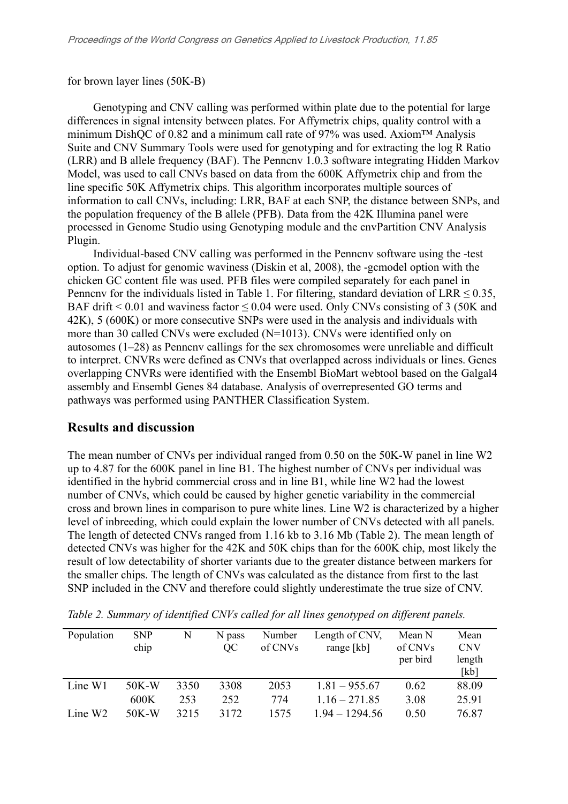for brown layer lines (50K-B)

Genotyping and CNV calling was performed within plate due to the potential for large differences in signal intensity between plates. For Affymetrix chips, quality control with a minimum DishQC of 0.82 and a minimum call rate of 97% was used. Axiom™ Analysis Suite and CNV Summary Tools were used for genotyping and for extracting the log R Ratio (LRR) and B allele frequency (BAF). The Penncnv 1.0.3 software integrating Hidden Markov Model, was used to call CNVs based on data from the 600K Affymetrix chip and from the line specific 50K Affymetrix chips. This algorithm incorporates multiple sources of information to call CNVs, including: LRR, BAF at each SNP, the distance between SNPs, and the population frequency of the B allele (PFB). Data from the 42K Illumina panel were processed in Genome Studio using Genotyping module and the cnvPartition CNV Analysis Plugin.

Individual-based CNV calling was performed in the Penncnv software using the -test option. To adjust for genomic waviness (Diskin et al, 2008), the -gcmodel option with the chicken GC content file was used. PFB files were compiled separately for each panel in Penncnv for the individuals listed in Table 1. For filtering, standard deviation of LRR  $\leq 0.35$ , BAF drift  $\leq 0.01$  and waviness factor  $\leq 0.04$  were used. Only CNVs consisting of 3 (50K and 42K), 5 (600K) or more consecutive SNPs were used in the analysis and individuals with more than 30 called CNVs were excluded (N=1013). CNVs were identified only on autosomes (1–28) as Penncnv callings for the sex chromosomes were unreliable and difficult to interpret. CNVRs were defined as CNVs that overlapped across individuals or lines. Genes overlapping CNVRs were identified with the Ensembl BioMart webtool based on the Galgal4 assembly and Ensembl Genes 84 database. Analysis of overrepresented GO terms and pathways was performed using PANTHER Classification System.

#### **Results and discussion**

The mean number of CNVs per individual ranged from 0.50 on the 50K-W panel in line W2 up to 4.87 for the 600K panel in line B1. The highest number of CNVs per individual was identified in the hybrid commercial cross and in line B1, while line W2 had the lowest number of CNVs, which could be caused by higher genetic variability in the commercial cross and brown lines in comparison to pure white lines. Line W2 is characterized by a higher level of inbreeding, which could explain the lower number of CNVs detected with all panels. The length of detected CNVs ranged from 1.16 kb to 3.16 Mb (Table 2). The mean length of detected CNVs was higher for the 42K and 50K chips than for the 600K chip, most likely the result of low detectability of shorter variants due to the greater distance between markers for the smaller chips. The length of CNVs was calculated as the distance from first to the last SNP included in the CNV and therefore could slightly underestimate the true size of CNV.

| Population          | <b>SNP</b> | N    | N pass | Number  | Length of CNV,   | Mean N   | Mean       |
|---------------------|------------|------|--------|---------|------------------|----------|------------|
|                     | chip       |      | OC     | of CNVs | range $[kb]$     | of CNVs  | <b>CNV</b> |
|                     |            |      |        |         |                  | per bird | length     |
|                     |            |      |        |         |                  |          | [kb]       |
| Line $W1$           | $50K-W$    | 3350 | 3308   | 2053    | $1.81 - 955.67$  | 0.62     | 88.09      |
|                     | 600K       | 253  | 252    | 774     | $1.16 - 271.85$  | 3.08     | 25.91      |
| Line W <sub>2</sub> | $50K-W$    | 3215 | 3172   | 1575    | $1.94 - 1294.56$ | 0.50     | 76.87      |

*Table 2. Summary of identified CNVs called for all lines genotyped on different panels.*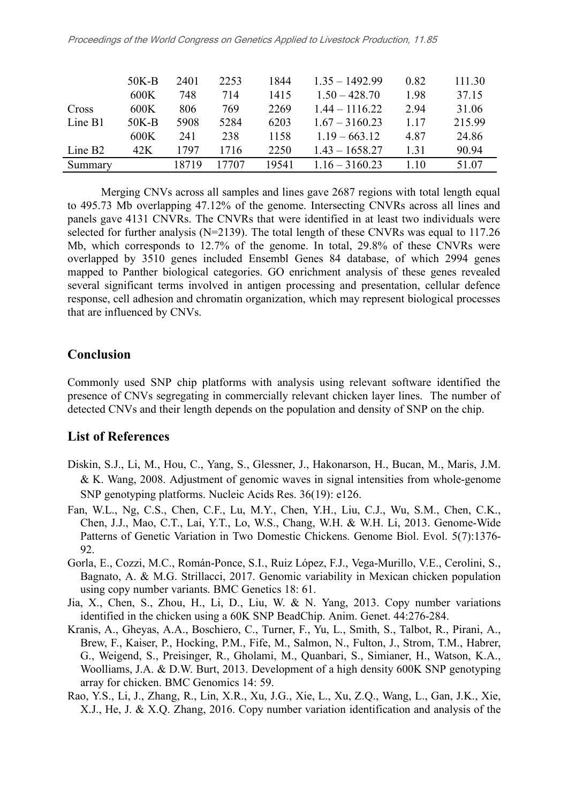|           | $50K-B$ | 2401  | 2253  | 1844  | $1.35 - 1492.99$ | 0.82 | 111.30 |
|-----------|---------|-------|-------|-------|------------------|------|--------|
|           | 600K    | 748   | 714   | 1415  | $1.50 - 428.70$  | 1.98 | 37.15  |
| Cross     | 600K    | 806   | 769   | 2269  | $1.44 - 1116.22$ | 2.94 | 31.06  |
| Line B1   | $50K-B$ | 5908  | 5284  | 6203  | $1.67 - 3160.23$ | 1.17 | 215.99 |
|           | 600K    | 241   | 238   | 1158  | $1.19 - 663.12$  | 4.87 | 24.86  |
| Line $B2$ | 42K     | 1797  | 1716  | 2250  | $1.43 - 1658.27$ | 1.31 | 90.94  |
| Summary   |         | 18719 | 17707 | 19541 | $1.16 - 3160.23$ | 1.10 | 51.07  |

Merging CNVs across all samples and lines gave 2687 regions with total length equal to 495.73 Mb overlapping 47.12% of the genome. Intersecting CNVRs across all lines and panels gave 4131 CNVRs. The CNVRs that were identified in at least two individuals were selected for further analysis (N=2139). The total length of these CNVRs was equal to 117.26 Mb, which corresponds to 12.7% of the genome. In total, 29.8% of these CNVRs were overlapped by 3510 genes included Ensembl Genes 84 database, of which 2994 genes mapped to Panther biological categories. GO enrichment analysis of these genes revealed several significant terms involved in antigen processing and presentation, cellular defence response, cell adhesion and chromatin organization, which may represent biological processes that are influenced by CNVs.

# **Conclusion**

Commonly used SNP chip platforms with analysis using relevant software identified the presence of CNVs segregating in commercially relevant chicken layer lines. The number of detected CNVs and their length depends on the population and density of SNP on the chip.

# **List of References**

- Diskin, S.J., Li, M., Hou, C., Yang, S., Glessner, J., Hakonarson, H., Bucan, M., Maris, J.M. & K. Wang, 2008. Adjustment of genomic waves in signal intensities from whole-genome SNP genotyping platforms. Nucleic Acids Res. 36(19): e126.
- Fan, W.L., Ng, C.S., Chen, C.F., Lu, M.Y., Chen, Y.H., Liu, C.J., Wu, S.M., Chen, C.K., Chen, J.J., Mao, C.T., Lai, Y.T., Lo, W.S., Chang, W.H. & W.H. Li, 2013. Genome-Wide Patterns of Genetic Variation in Two Domestic Chickens. Genome Biol. Evol. 5(7):1376- 92.
- Gorla, E., Cozzi, M.C., Román-Ponce, S.I., Ruiz López, F.J., Vega-Murillo, V.E., Cerolini, S., Bagnato, A. & M.G. Strillacci, 2017. Genomic variability in Mexican chicken population using copy number variants. BMC Genetics 18: 61.
- Jia, X., Chen, S., Zhou, H., Li, D., Liu, W. & N. Yang, 2013. Copy number variations identified in the chicken using a 60K SNP BeadChip. Anim. Genet. 44:276-284.
- Kranis, A., Gheyas, A.A., Boschiero, C., Turner, F., Yu, L., Smith, S., Talbot, R., Pirani, A., Brew, F., Kaiser, P., Hocking, P.M., Fife, M., Salmon, N., Fulton, J., Strom, T.M., Habrer, G., Weigend, S., Preisinger, R., Gholami, M., Quanbari, S., Simianer, H., Watson, K.A., Woolliams, J.A. & D.W. Burt, 2013. Development of a high density 600K SNP genotyping array for chicken. BMC Genomics 14: 59.
- Rao, Y.S., Li, J., Zhang, R., Lin, X.R., Xu, J.G., Xie, L., Xu, Z.Q., Wang, L., Gan, J.K., Xie, X.J., He, J. & X.Q. Zhang, 2016. Copy number variation identification and analysis of the